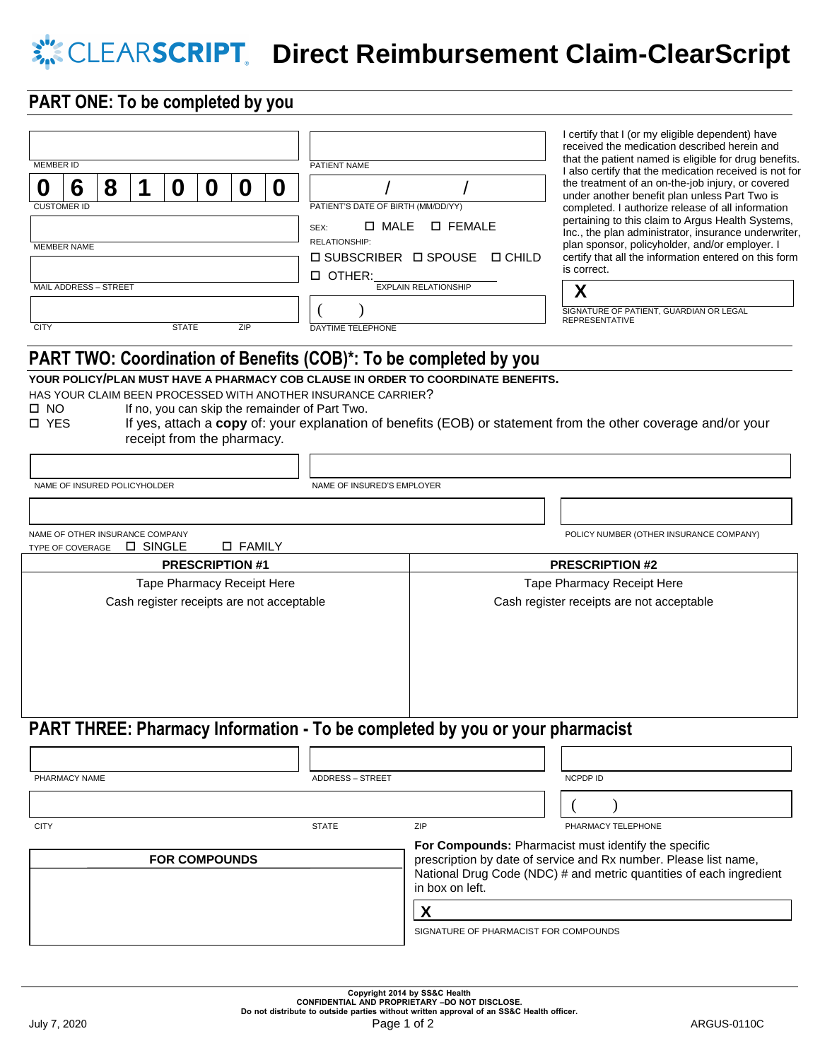## **X**<sup>1</sup> CLEARSCRIPT. Direct Reimbursement Claim-ClearScript

### **PART ONE: To be completed by you**

| <b>MEMBER ID</b>                                                                                                                                |                                 |  |          |                            |  |                 |  | PATIENT NAME                                                                                                                                                                                                                                                                                      |                                                                                                                                                                                                                    | I certify that I (or my eligible dependent) have<br>received the medication described herein and<br>that the patient named is eligible for drug benefits.<br>I also certify that the medication received is not for                                                                                                                                                                                                                                                     |  |
|-------------------------------------------------------------------------------------------------------------------------------------------------|---------------------------------|--|----------|----------------------------|--|-----------------|--|---------------------------------------------------------------------------------------------------------------------------------------------------------------------------------------------------------------------------------------------------------------------------------------------------|--------------------------------------------------------------------------------------------------------------------------------------------------------------------------------------------------------------------|-------------------------------------------------------------------------------------------------------------------------------------------------------------------------------------------------------------------------------------------------------------------------------------------------------------------------------------------------------------------------------------------------------------------------------------------------------------------------|--|
| 6<br>8<br>1<br>O<br>Ũ<br>0<br>O<br>Û<br><b>CUSTOMER ID</b><br><b>MEMBER NAME</b><br>MAIL ADDRESS - STREET<br><b>CITY</b><br><b>STATE</b><br>ZIP |                                 |  |          |                            |  |                 |  | PATIENT'S DATE OF BIRTH (MM/DD/YY)<br>□ MALE<br>$\square$ FEMALE<br>SEX:<br>RELATIONSHIP:<br>$\square$ SUBSCRIBER $\square$ SPOUSE<br>$\square$ CHILD<br><b>D</b> OTHER:<br><b>EXPLAIN RELATIONSHIP</b><br>DAYTIME TELEPHONE<br>PART TWO: Coordination of Benefits (COB)*: To be completed by you |                                                                                                                                                                                                                    | the treatment of an on-the-job injury, or covered<br>under another benefit plan unless Part Two is<br>completed. I authorize release of all information<br>pertaining to this claim to Argus Health Systems,<br>Inc., the plan administrator, insurance underwriter,<br>plan sponsor, policyholder, and/or employer. I<br>certify that all the information entered on this form<br>is correct.<br>X<br>SIGNATURE OF PATIENT, GUARDIAN OR LEGAL<br><b>REPRESENTATIVE</b> |  |
| $\Box$ NO<br><b>D</b> YES                                                                                                                       | NAME OF INSURED POLICYHOLDER    |  |          | receipt from the pharmacy. |  |                 |  | HAS YOUR CLAIM BEEN PROCESSED WITH ANOTHER INSURANCE CARRIER?<br>If no, you can skip the remainder of Part Two.<br>NAME OF INSURED'S EMPLOYER                                                                                                                                                     | YOUR POLICY/PLAN MUST HAVE A PHARMACY COB CLAUSE IN ORDER TO COORDINATE BENEFITS.                                                                                                                                  | If yes, attach a copy of: your explanation of benefits (EOB) or statement from the other coverage and/or your                                                                                                                                                                                                                                                                                                                                                           |  |
|                                                                                                                                                 | NAME OF OTHER INSURANCE COMPANY |  | □ SINGLE |                            |  | <b>D FAMILY</b> |  |                                                                                                                                                                                                                                                                                                   |                                                                                                                                                                                                                    | POLICY NUMBER (OTHER INSURANCE COMPANY)                                                                                                                                                                                                                                                                                                                                                                                                                                 |  |
| TYPE OF COVERAGE<br><b>PRESCRIPTION #1</b>                                                                                                      |                                 |  |          |                            |  |                 |  |                                                                                                                                                                                                                                                                                                   |                                                                                                                                                                                                                    | <b>PRESCRIPTION #2</b>                                                                                                                                                                                                                                                                                                                                                                                                                                                  |  |
| Tape Pharmacy Receipt Here<br>Cash register receipts are not acceptable                                                                         |                                 |  |          |                            |  |                 |  |                                                                                                                                                                                                                                                                                                   |                                                                                                                                                                                                                    | Tape Pharmacy Receipt Here<br>Cash register receipts are not acceptable                                                                                                                                                                                                                                                                                                                                                                                                 |  |
|                                                                                                                                                 |                                 |  |          |                            |  |                 |  |                                                                                                                                                                                                                                                                                                   | PART THREE: Pharmacy Information - To be completed by you or your pharmacist                                                                                                                                       |                                                                                                                                                                                                                                                                                                                                                                                                                                                                         |  |
|                                                                                                                                                 |                                 |  |          |                            |  |                 |  |                                                                                                                                                                                                                                                                                                   |                                                                                                                                                                                                                    |                                                                                                                                                                                                                                                                                                                                                                                                                                                                         |  |
| PHARMACY NAME                                                                                                                                   |                                 |  |          |                            |  |                 |  | <b>ADDRESS - STREET</b>                                                                                                                                                                                                                                                                           |                                                                                                                                                                                                                    | NCPDP ID                                                                                                                                                                                                                                                                                                                                                                                                                                                                |  |
|                                                                                                                                                 |                                 |  |          |                            |  |                 |  |                                                                                                                                                                                                                                                                                                   |                                                                                                                                                                                                                    |                                                                                                                                                                                                                                                                                                                                                                                                                                                                         |  |
| <b>CITY</b>                                                                                                                                     |                                 |  |          |                            |  |                 |  | <b>STATE</b>                                                                                                                                                                                                                                                                                      | ZIP                                                                                                                                                                                                                | PHARMACY TELEPHONE                                                                                                                                                                                                                                                                                                                                                                                                                                                      |  |
| <b>FOR COMPOUNDS</b>                                                                                                                            |                                 |  |          |                            |  |                 |  |                                                                                                                                                                                                                                                                                                   | For Compounds: Pharmacist must identify the specific<br>prescription by date of service and Rx number. Please list name,<br>National Drug Code (NDC) # and metric quantities of each ingredient<br>in box on left. |                                                                                                                                                                                                                                                                                                                                                                                                                                                                         |  |
|                                                                                                                                                 |                                 |  |          |                            |  |                 |  |                                                                                                                                                                                                                                                                                                   | X                                                                                                                                                                                                                  |                                                                                                                                                                                                                                                                                                                                                                                                                                                                         |  |
|                                                                                                                                                 |                                 |  |          |                            |  |                 |  |                                                                                                                                                                                                                                                                                                   | SIGNATURE OF PHARMACIST FOR COMPOUNDS                                                                                                                                                                              |                                                                                                                                                                                                                                                                                                                                                                                                                                                                         |  |